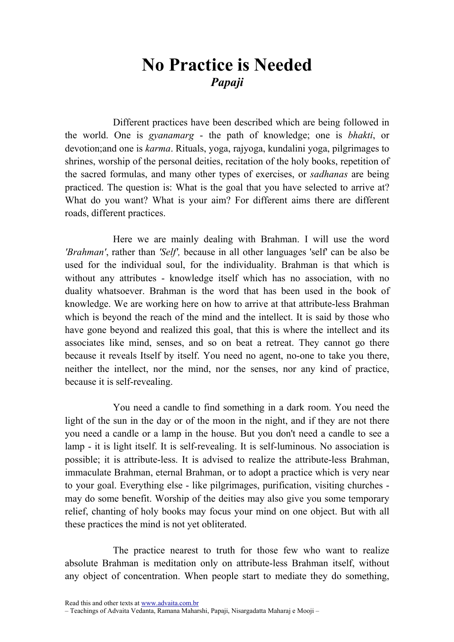## No Practice is Needed Papaji

Different practices have been described which are being followed in the world. One is gyanamarg - the path of knowledge; one is bhakti, or devotion;and one is karma. Rituals, yoga, rajyoga, kundalini yoga, pilgrimages to shrines, worship of the personal deities, recitation of the holy books, repetition of the sacred formulas, and many other types of exercises, or sadhanas are being practiced. The question is: What is the goal that you have selected to arrive at? What do you want? What is your aim? For different aims there are different roads, different practices.

Here we are mainly dealing with Brahman. I will use the word 'Brahman', rather than 'Self', because in all other languages 'self' can be also be used for the individual soul, for the individuality. Brahman is that which is without any attributes - knowledge itself which has no association, with no duality whatsoever. Brahman is the word that has been used in the book of knowledge. We are working here on how to arrive at that attribute-less Brahman which is beyond the reach of the mind and the intellect. It is said by those who have gone beyond and realized this goal, that this is where the intellect and its associates like mind, senses, and so on beat a retreat. They cannot go there because it reveals Itself by itself. You need no agent, no-one to take you there, neither the intellect, nor the mind, nor the senses, nor any kind of practice, because it is self-revealing.

You need a candle to find something in a dark room. You need the light of the sun in the day or of the moon in the night, and if they are not there you need a candle or a lamp in the house. But you don't need a candle to see a lamp - it is light itself. It is self-revealing. It is self-luminous. No association is possible; it is attribute-less. It is advised to realize the attribute-less Brahman, immaculate Brahman, eternal Brahman, or to adopt a practice which is very near to your goal. Everything else - like pilgrimages, purification, visiting churches may do some benefit. Worship of the deities may also give you some temporary relief, chanting of holy books may focus your mind on one object. But with all these practices the mind is not yet obliterated.

The practice nearest to truth for those few who want to realize absolute Brahman is meditation only on attribute-less Brahman itself, without any object of concentration. When people start to mediate they do something,

Read this and other texts at www.advaita.com.br

<sup>–</sup> Teachings of Advaita Vedanta, Ramana Maharshi, Papaji, Nisargadatta Maharaj e Mooji –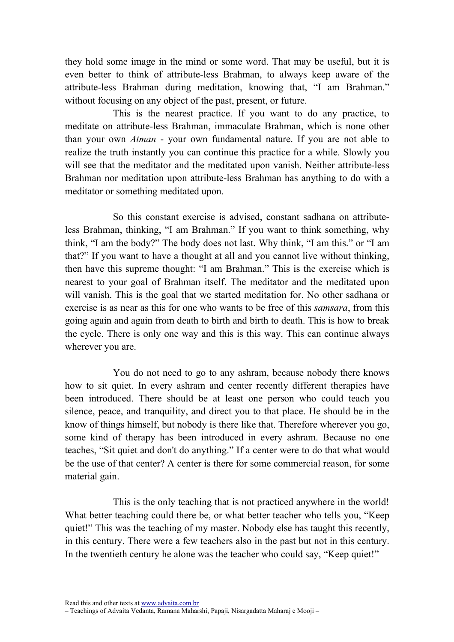they hold some image in the mind or some word. That may be useful, but it is even better to think of attribute-less Brahman, to always keep aware of the attribute-less Brahman during meditation, knowing that, "I am Brahman." without focusing on any object of the past, present, or future.

This is the nearest practice. If you want to do any practice, to meditate on attribute-less Brahman, immaculate Brahman, which is none other than your own Atman - your own fundamental nature. If you are not able to realize the truth instantly you can continue this practice for a while. Slowly you will see that the meditator and the meditated upon vanish. Neither attribute-less Brahman nor meditation upon attribute-less Brahman has anything to do with a meditator or something meditated upon.

So this constant exercise is advised, constant sadhana on attributeless Brahman, thinking, "I am Brahman." If you want to think something, why think, "I am the body?" The body does not last. Why think, "I am this." or "I am that?" If you want to have a thought at all and you cannot live without thinking, then have this supreme thought: "I am Brahman." This is the exercise which is nearest to your goal of Brahman itself. The meditator and the meditated upon will vanish. This is the goal that we started meditation for. No other sadhana or exercise is as near as this for one who wants to be free of this samsara, from this going again and again from death to birth and birth to death. This is how to break the cycle. There is only one way and this is this way. This can continue always wherever you are.

You do not need to go to any ashram, because nobody there knows how to sit quiet. In every ashram and center recently different therapies have been introduced. There should be at least one person who could teach you silence, peace, and tranquility, and direct you to that place. He should be in the know of things himself, but nobody is there like that. Therefore wherever you go, some kind of therapy has been introduced in every ashram. Because no one teaches, "Sit quiet and don't do anything." If a center were to do that what would be the use of that center? A center is there for some commercial reason, for some material gain.

This is the only teaching that is not practiced anywhere in the world! What better teaching could there be, or what better teacher who tells you, "Keep" quiet!" This was the teaching of my master. Nobody else has taught this recently, in this century. There were a few teachers also in the past but not in this century. In the twentieth century he alone was the teacher who could say, "Keep quiet!"